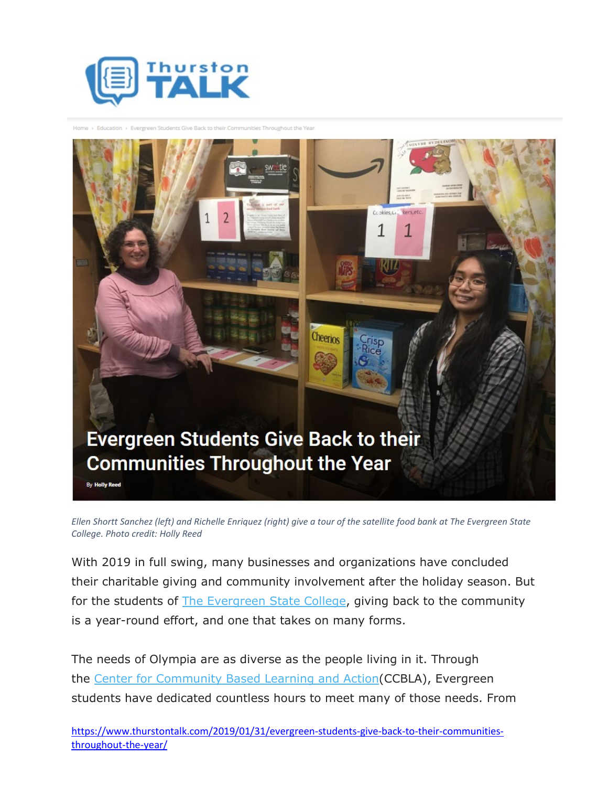



*Ellen Shortt Sanchez (left) and Richelle Enriquez (right) give a tour of the satellite food bank at The Evergreen State College. Photo credit: Holly Reed*

With 2019 in full swing, many businesses and organizations have concluded their charitable giving and community involvement after the holiday season. But for the students of [The Evergreen State College,](https://www.evergreen.edu/) giving back to the community is a year-round effort, and one that takes on many forms.

The needs of Olympia are as diverse as the people living in it. Through the [Center for Community Based Learning and Action\(](https://www.evergreen.edu/communitybasedlearning)CCBLA), Evergreen students have dedicated countless hours to meet many of those needs. From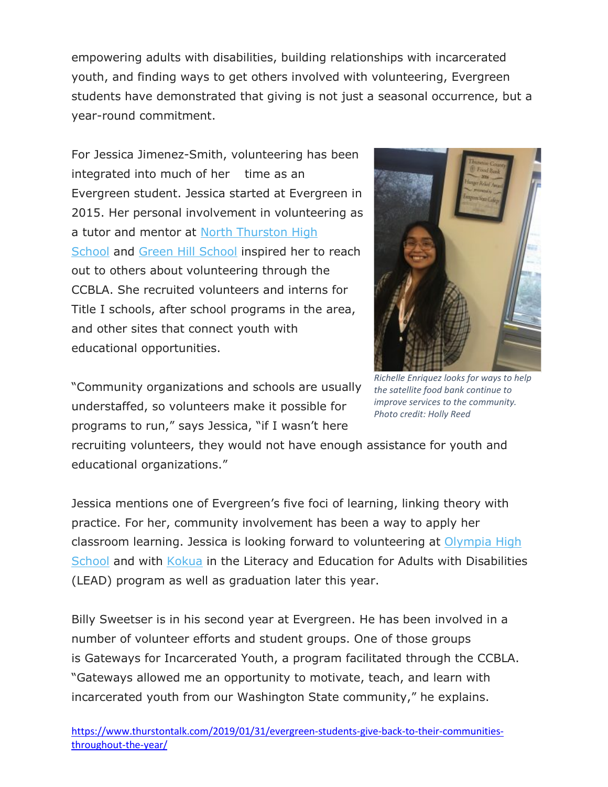empowering adults with disabilities, building relationships with incarcerated youth, and finding ways to get others involved with volunteering, Evergreen students have demonstrated that giving is not just a seasonal occurrence, but a year-round commitment.

For Jessica Jimenez-Smith, volunteering has been integrated into much of her time as an Evergreen student. Jessica started at Evergreen in 2015. Her personal involvement in volunteering as a tutor and mentor at [North Thurston High](https://www.nthurston.k12.wa.us/norththurston)  [School](https://www.nthurston.k12.wa.us/norththurston) and [Green Hill School](https://www.dshs.wa.gov/ra/juvenile-rehabilitation/green-hill-school) inspired her to reach out to others about volunteering through the CCBLA. She recruited volunteers and interns for Title I schools, after school programs in the area, and other sites that connect youth with educational opportunities.



"Community organizations and schools are usually understaffed, so volunteers make it possible for programs to run," says Jessica, "if I wasn't here

*Richelle Enriquez looks for ways to help the satellite food bank continue to improve services to the community. Photo credit: Holly Reed*

recruiting volunteers, they would not have enough assistance for youth and educational organizations."

Jessica mentions one of Evergreen's five foci of learning, linking theory with practice. For her, community involvement has been a way to apply her classroom learning. Jessica is looking forward to volunteering at [Olympia High](https://olympia.osd.wednet.edu/)  [School](https://olympia.osd.wednet.edu/) and with [Kokua](http://kokuaservices.org/) in the Literacy and Education for Adults with Disabilities (LEAD) program as well as graduation later this year.

Billy Sweetser is in his second year at Evergreen. He has been involved in a number of volunteer efforts and student groups. One of those groups is [Gateways for Incarcerated Youth,](https://www.evergreen.edu/gateways) a program facilitated through the CCBLA. "Gateways allowed me an opportunity to motivate, teach, and learn with incarcerated youth from our Washington State community," he explains.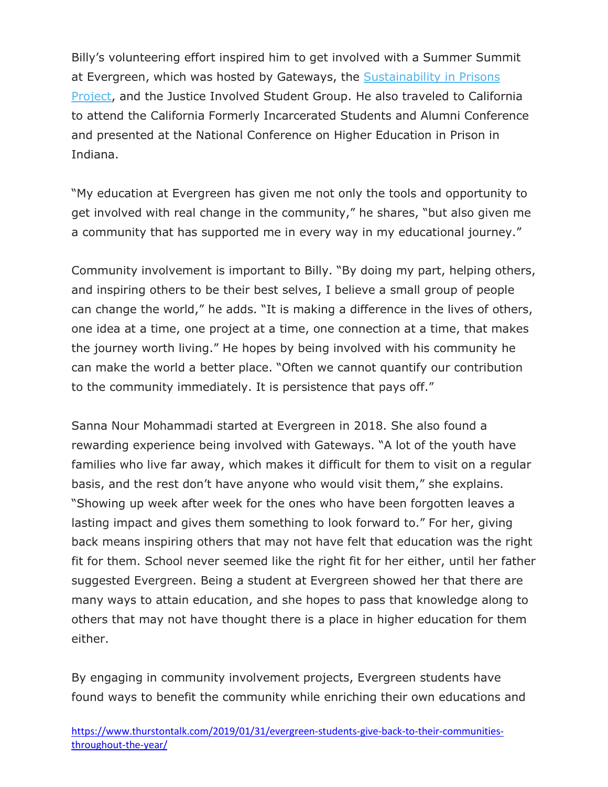Billy's volunteering effort inspired him to get involved with a Summer Summit at Evergreen, which was hosted by Gateways, the [Sustainability in Prisons](http://sustainabilityinprisons.org/)  [Project,](http://sustainabilityinprisons.org/) and the Justice Involved Student Group. He also traveled to California to attend the California Formerly Incarcerated Students and Alumni Conference and presented at the National Conference on Higher Education in Prison in Indiana.

"My education at Evergreen has given me not only the tools and opportunity to get involved with real change in the community," he shares, "but also given me a community that has supported me in every way in my educational journey."

Community involvement is important to Billy. "By doing my part, helping others, and inspiring others to be their best selves, I believe a small group of people can change the world," he adds. "It is making a difference in the lives of others, one idea at a time, one project at a time, one connection at a time, that makes the journey worth living." He hopes by being involved with his community he can make the world a better place. "Often we cannot quantify our contribution to the community immediately. It is persistence that pays off."

Sanna Nour Mohammadi started at Evergreen in 2018. She also found a rewarding experience being involved with Gateways. "A lot of the youth have families who live far away, which makes it difficult for them to visit on a regular basis, and the rest don't have anyone who would visit them," she explains. "Showing up week after week for the ones who have been forgotten leaves a lasting impact and gives them something to look forward to." For her, giving back means inspiring others that may not have felt that education was the right fit for them. School never seemed like the right fit for her either, until her father suggested Evergreen. Being a student at Evergreen showed her that there are many ways to attain education, and she hopes to pass that knowledge along to others that may not have thought there is a place in higher education for them either.

By engaging in community involvement projects, Evergreen students have found ways to benefit the community while enriching their own educations and